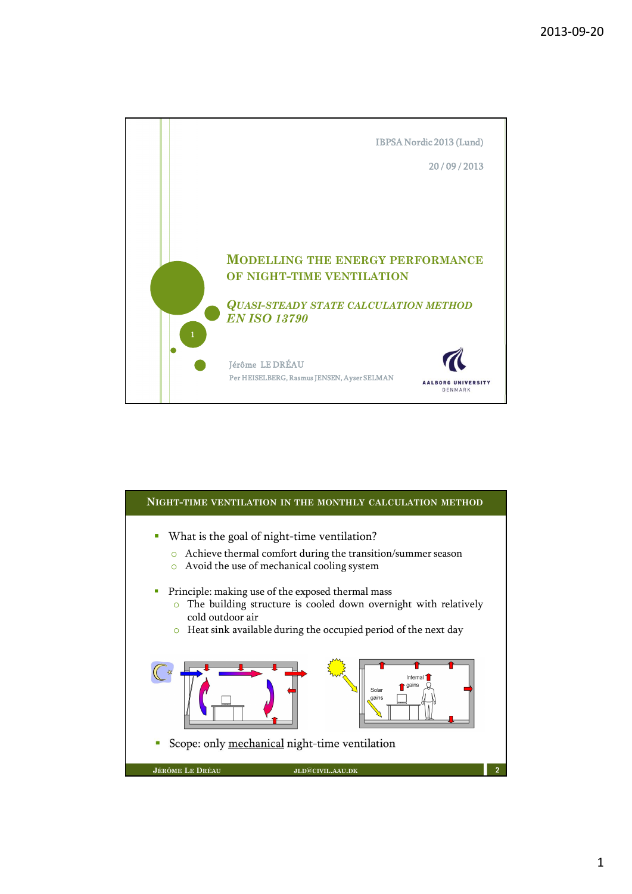

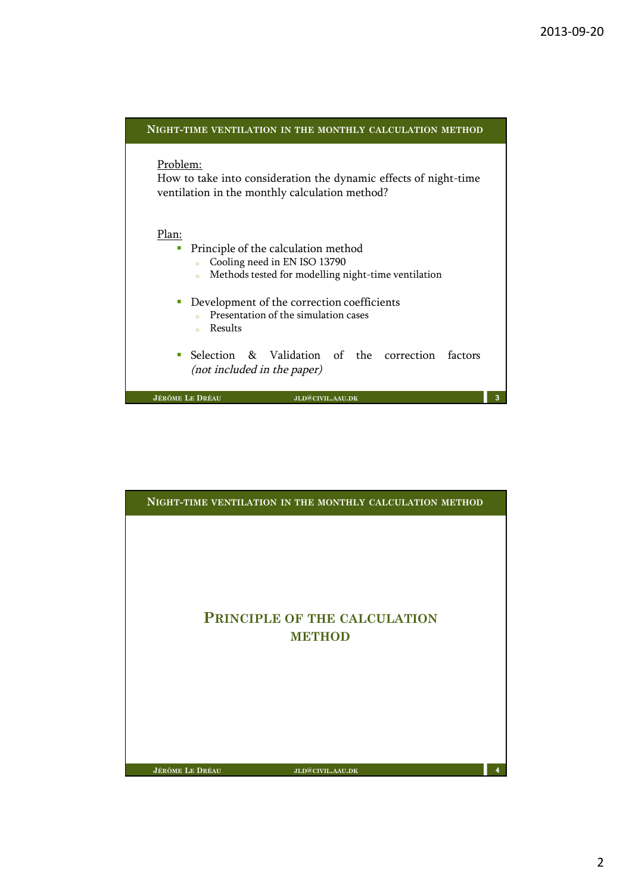| NIGHT-TIME VENTILATION IN THE MONTHLY CALCULATION METHOD                                                                                                                    |
|-----------------------------------------------------------------------------------------------------------------------------------------------------------------------------|
| Problem:<br>How to take into consideration the dynamic effects of night-time<br>ventilation in the monthly calculation method?                                              |
| Plan:<br>Principle of the calculation method<br>$\blacksquare$<br>Cooling need in EN ISO 13790<br>$\circ$<br>Methods tested for modelling night-time ventilation<br>$\circ$ |
| Development of the correction coefficients<br>Presentation of the simulation cases<br>Results<br>$\circ$                                                                    |
| Selection & Validation of the correction factors<br>(not included in the paper)                                                                                             |
| <b>JÉRÔME LE DRÉAU</b><br>3<br>JLD@CIVIL.AAU.DK                                                                                                                             |

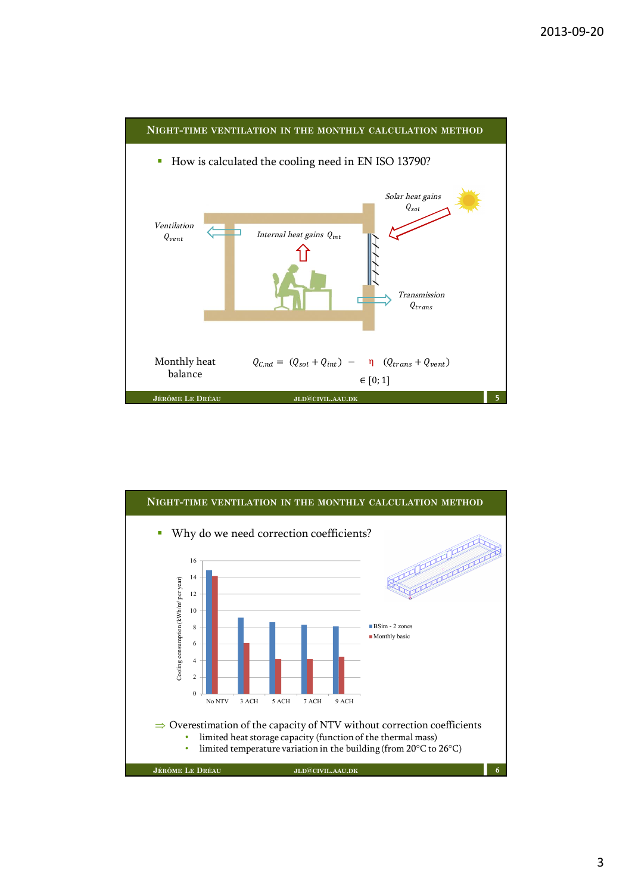

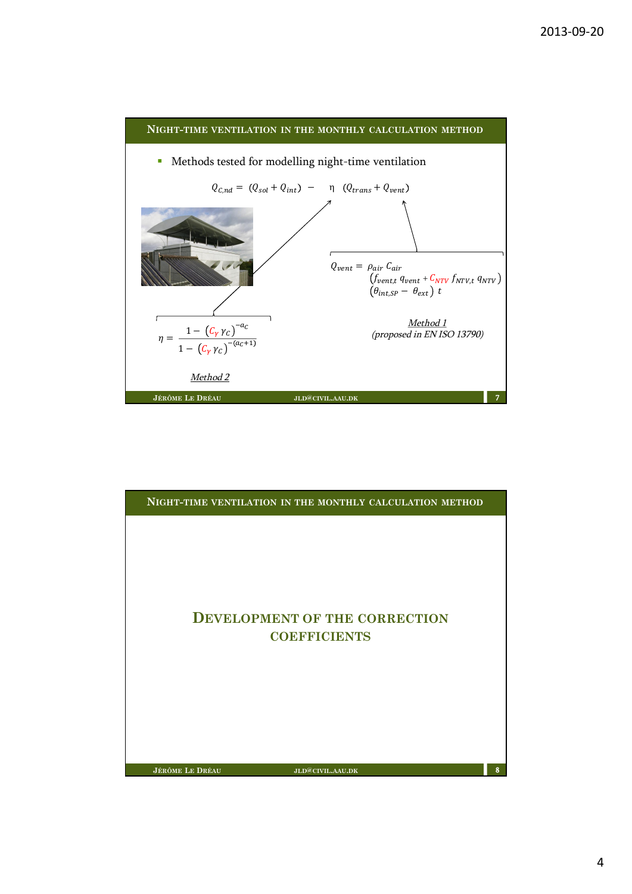

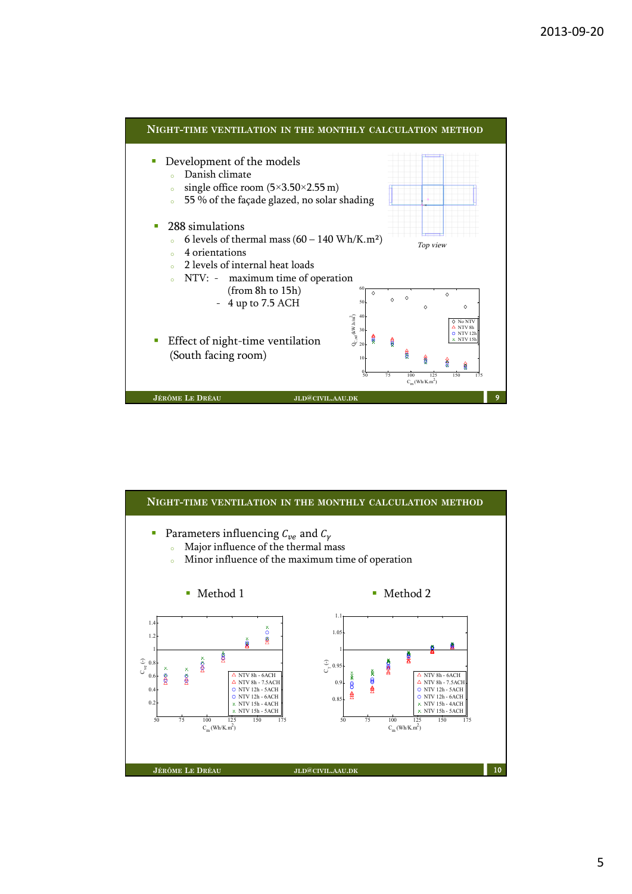

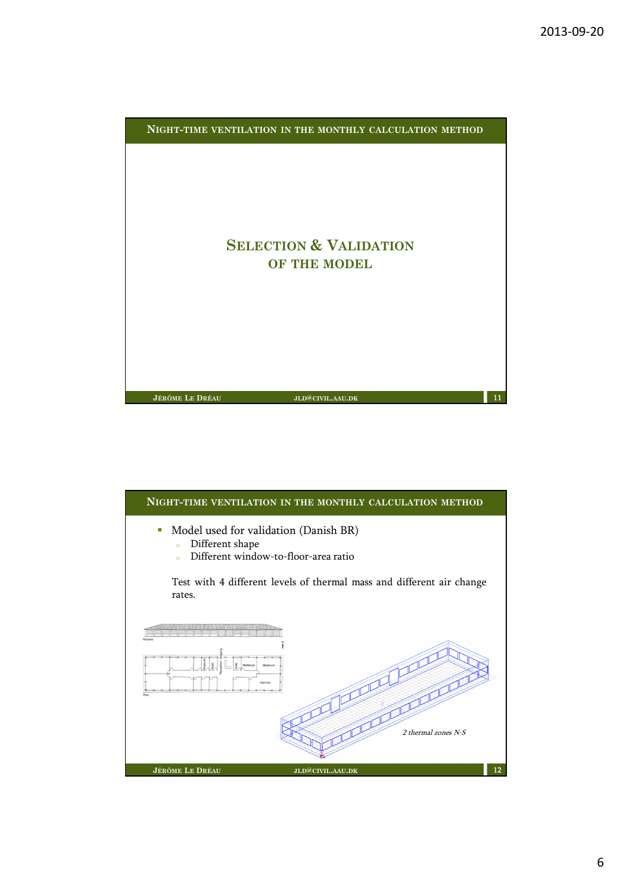

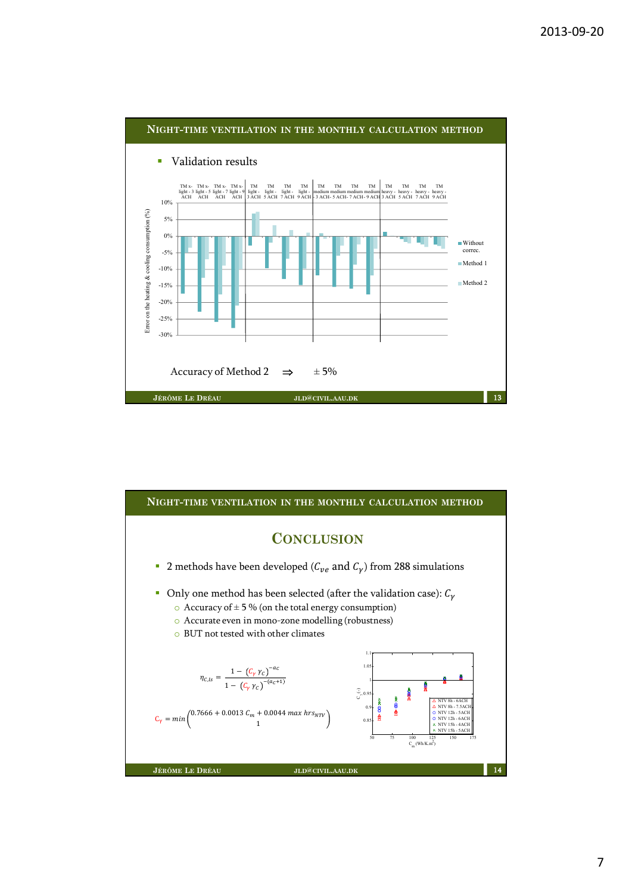